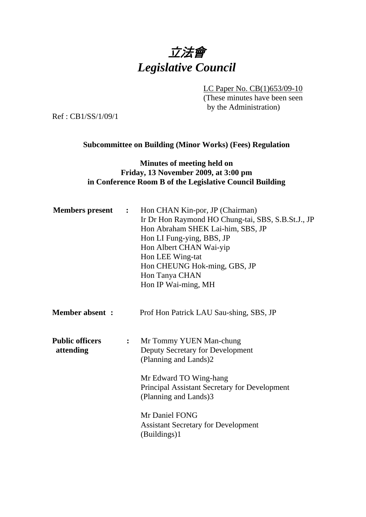

LC Paper No. CB(1)653/09-10

(These minutes have been seen by the Administration)

Ref : CB1/SS/1/09/1

#### **Subcommittee on Building (Minor Works) (Fees) Regulation**

### **Minutes of meeting held on Friday, 13 November 2009, at 3:00 pm in Conference Room B of the Legislative Council Building**

| <b>Members present :</b>            |                  | Hon CHAN Kin-por, JP (Chairman)<br>Ir Dr Hon Raymond HO Chung-tai, SBS, S.B.St.J., JP<br>Hon Abraham SHEK Lai-him, SBS, JP<br>Hon LI Fung-ying, BBS, JP<br>Hon Albert CHAN Wai-yip<br>Hon LEE Wing-tat<br>Hon CHEUNG Hok-ming, GBS, JP<br>Hon Tanya CHAN<br>Hon IP Wai-ming, MH |
|-------------------------------------|------------------|---------------------------------------------------------------------------------------------------------------------------------------------------------------------------------------------------------------------------------------------------------------------------------|
| <b>Member absent:</b>               |                  | Prof Hon Patrick LAU Sau-shing, SBS, JP                                                                                                                                                                                                                                         |
| <b>Public officers</b><br>attending | $\ddot{\bullet}$ | Mr Tommy YUEN Man-chung<br>Deputy Secretary for Development<br>(Planning and Lands)2<br>Mr Edward TO Wing-hang<br>Principal Assistant Secretary for Development<br>(Planning and Lands)3<br>Mr Daniel FONG<br><b>Assistant Secretary for Development</b><br>(Buildings)1        |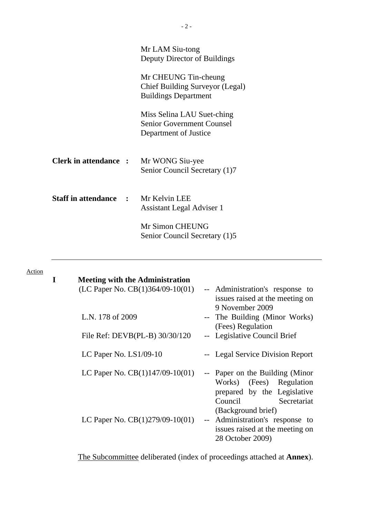|                                            | Mr LAM Siu-tong<br>Deputy Director of Buildings                                         |
|--------------------------------------------|-----------------------------------------------------------------------------------------|
|                                            | Mr CHEUNG Tin-cheung<br>Chief Building Surveyor (Legal)<br><b>Buildings Department</b>  |
|                                            | Miss Selina LAU Suet-ching<br><b>Senior Government Counsel</b><br>Department of Justice |
| <b>Clerk in attendance:</b>                | Mr WONG Siu-yee<br>Senior Council Secretary (1)7                                        |
| <b>Staff in attendance : Mr Kelvin LEE</b> | <b>Assistant Legal Adviser 1</b>                                                        |
|                                            | Mr Simon CHEUNG<br>Senior Council Secretary (1)5                                        |

#### Action

| <b>Meeting with the Administration</b> |                                                                                                                                            |
|----------------------------------------|--------------------------------------------------------------------------------------------------------------------------------------------|
| (LC Paper No. CB(1)364/09-10(01)       | -- Administration's response to<br>issues raised at the meeting on<br>9 November 2009                                                      |
| L.N. 178 of 2009                       | -- The Building (Minor Works)<br>(Fees) Regulation                                                                                         |
| File Ref: DEVB(PL-B) 30/30/120         | -- Legislative Council Brief                                                                                                               |
| LC Paper No. $LS1/09-10$               | -- Legal Service Division Report                                                                                                           |
| LC Paper No. $CB(1)147/09-10(01)$      | -- Paper on the Building (Minor<br>Works) (Fees) Regulation<br>prepared by the Legislative<br>Secretariat<br>Council<br>(Background brief) |
| LC Paper No. $CB(1)279/09-10(01)$      | -- Administration's response to<br>issues raised at the meeting on<br>28 October 2009)                                                     |

The Subcommittee deliberated (index of proceedings attached at **Annex**).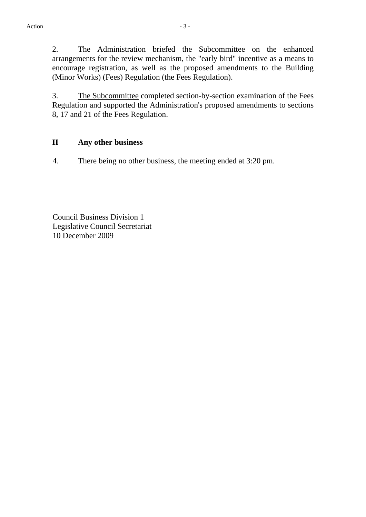2. The Administration briefed the Subcommittee on the enhanced arrangements for the review mechanism, the "early bird" incentive as a means to encourage registration, as well as the proposed amendments to the Building (Minor Works) (Fees) Regulation (the Fees Regulation).

3. The Subcommittee completed section-by-section examination of the Fees Regulation and supported the Administration's proposed amendments to sections 8, 17 and 21 of the Fees Regulation.

#### **II Any other business**

4. There being no other business, the meeting ended at 3:20 pm.

Council Business Division 1 Legislative Council Secretariat 10 December 2009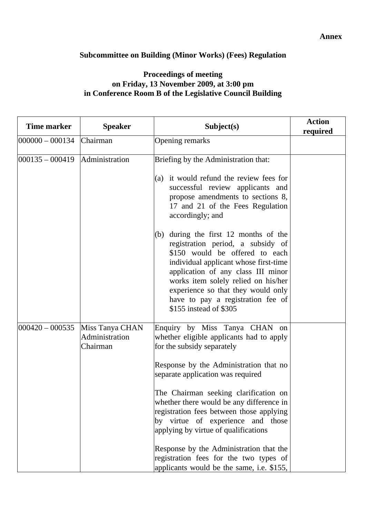# **Subcommittee on Building (Minor Works) (Fees) Regulation**

## **Proceedings of meeting on Friday, 13 November 2009, at 3:00 pm in Conference Room B of the Legislative Council Building**

| <b>Time marker</b><br><b>Speaker</b> |                                               | Subject(s)                                                                                                                                                                                                                                                                                                                                                                                                                                                                                                                             | <b>Action</b><br>required |
|--------------------------------------|-----------------------------------------------|----------------------------------------------------------------------------------------------------------------------------------------------------------------------------------------------------------------------------------------------------------------------------------------------------------------------------------------------------------------------------------------------------------------------------------------------------------------------------------------------------------------------------------------|---------------------------|
| $ 000000 - 000134 $                  | Chairman                                      | Opening remarks                                                                                                                                                                                                                                                                                                                                                                                                                                                                                                                        |                           |
| $ 000135 - 000419 $                  | Administration                                | Briefing by the Administration that:<br>(a) it would refund the review fees for<br>successful review applicants and<br>propose amendments to sections 8,<br>17 and 21 of the Fees Regulation<br>accordingly; and                                                                                                                                                                                                                                                                                                                       |                           |
|                                      |                                               | during the first 12 months of the<br>(b)<br>registration period, a subsidy of<br>\$150 would be offered to each<br>individual applicant whose first-time<br>application of any class III minor<br>works item solely relied on his/her<br>experience so that they would only<br>have to pay a registration fee of<br>\$155 instead of \$305                                                                                                                                                                                             |                           |
| $000420 - 000535$                    | Miss Tanya CHAN<br>Administration<br>Chairman | Enquiry by Miss Tanya CHAN on<br>whether eligible applicants had to apply<br>for the subsidy separately<br>Response by the Administration that no<br>separate application was required<br>The Chairman seeking clarification on<br>whether there would be any difference in<br>registration fees between those applying<br>by virtue of experience and those<br>applying by virtue of qualifications<br>Response by the Administration that the<br>registration fees for the two types of<br>applicants would be the same, i.e. \$155, |                           |